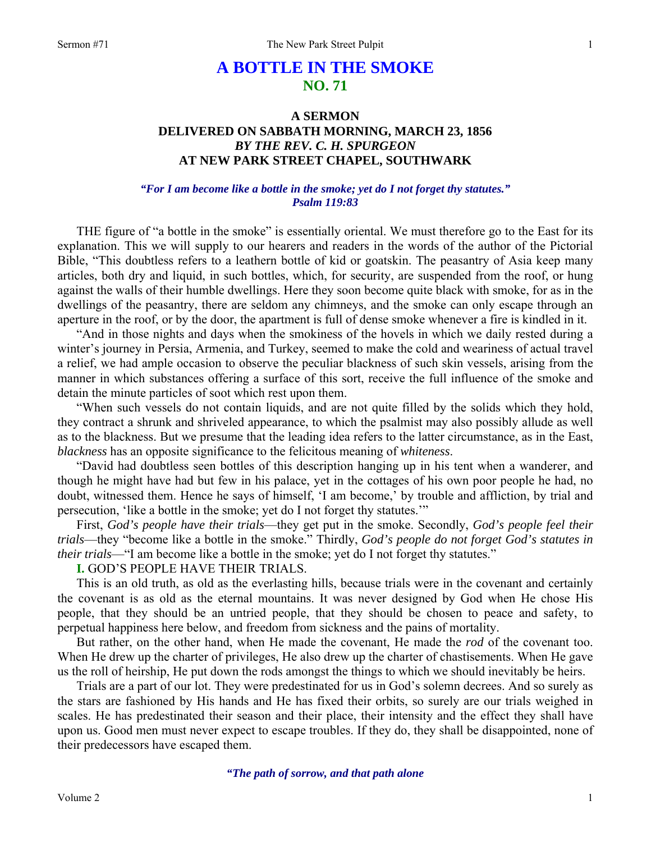# **A BOTTLE IN THE SMOKE NO. 71**

## **A SERMON DELIVERED ON SABBATH MORNING, MARCH 23, 1856**  *BY THE REV. C. H. SPURGEON*  **AT NEW PARK STREET CHAPEL, SOUTHWARK**

#### *"For I am become like a bottle in the smoke; yet do I not forget thy statutes." Psalm 119:83*

THE figure of "a bottle in the smoke" is essentially oriental. We must therefore go to the East for its explanation. This we will supply to our hearers and readers in the words of the author of the Pictorial Bible, "This doubtless refers to a leathern bottle of kid or goatskin. The peasantry of Asia keep many articles, both dry and liquid, in such bottles, which, for security, are suspended from the roof, or hung against the walls of their humble dwellings. Here they soon become quite black with smoke, for as in the dwellings of the peasantry, there are seldom any chimneys, and the smoke can only escape through an aperture in the roof, or by the door, the apartment is full of dense smoke whenever a fire is kindled in it.

"And in those nights and days when the smokiness of the hovels in which we daily rested during a winter's journey in Persia, Armenia, and Turkey, seemed to make the cold and weariness of actual travel a relief, we had ample occasion to observe the peculiar blackness of such skin vessels, arising from the manner in which substances offering a surface of this sort, receive the full influence of the smoke and detain the minute particles of soot which rest upon them.

"When such vessels do not contain liquids, and are not quite filled by the solids which they hold, they contract a shrunk and shriveled appearance, to which the psalmist may also possibly allude as well as to the blackness. But we presume that the leading idea refers to the latter circumstance, as in the East, *blackness* has an opposite significance to the felicitous meaning of *whiteness*.

"David had doubtless seen bottles of this description hanging up in his tent when a wanderer, and though he might have had but few in his palace, yet in the cottages of his own poor people he had, no doubt, witnessed them. Hence he says of himself, 'I am become,' by trouble and affliction, by trial and persecution, 'like a bottle in the smoke; yet do I not forget thy statutes.'"

First, *God's people have their trials*—they get put in the smoke. Secondly, *God's people feel their trials*—they "become like a bottle in the smoke." Thirdly, *God's people do not forget God's statutes in their trials*—"I am become like a bottle in the smoke; yet do I not forget thy statutes."

**I.** GOD'S PEOPLE HAVE THEIR TRIALS.

This is an old truth, as old as the everlasting hills, because trials were in the covenant and certainly the covenant is as old as the eternal mountains. It was never designed by God when He chose His people, that they should be an untried people, that they should be chosen to peace and safety, to perpetual happiness here below, and freedom from sickness and the pains of mortality.

But rather, on the other hand, when He made the covenant, He made the *rod* of the covenant too. When He drew up the charter of privileges, He also drew up the charter of chastisements. When He gave us the roll of heirship, He put down the rods amongst the things to which we should inevitably be heirs.

Trials are a part of our lot. They were predestinated for us in God's solemn decrees. And so surely as the stars are fashioned by His hands and He has fixed their orbits, so surely are our trials weighed in scales. He has predestinated their season and their place, their intensity and the effect they shall have upon us. Good men must never expect to escape troubles. If they do, they shall be disappointed, none of their predecessors have escaped them.

*"The path of sorrow, and that path alone*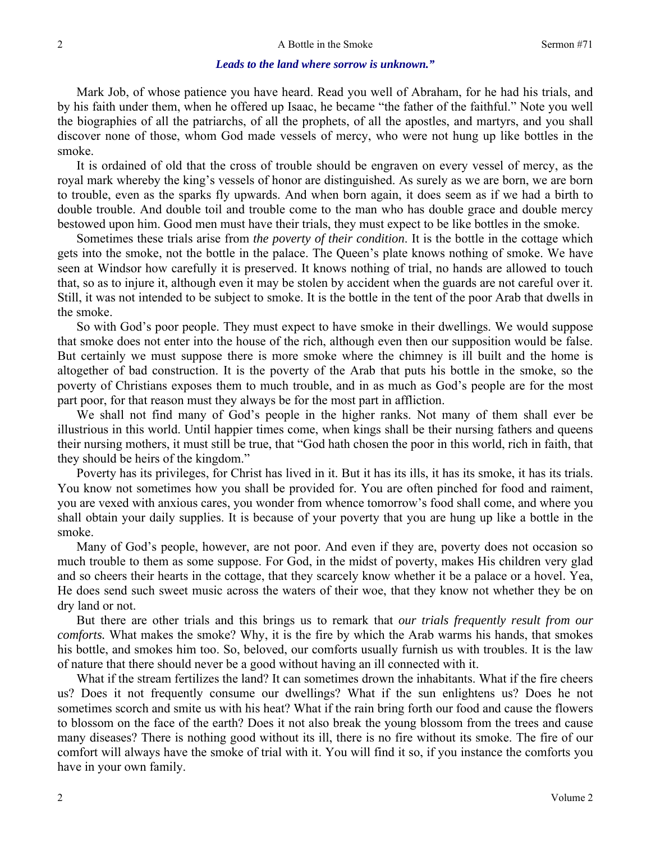#### *Leads to the land where sorrow is unknown."*

Mark Job, of whose patience you have heard. Read you well of Abraham, for he had his trials, and by his faith under them, when he offered up Isaac, he became "the father of the faithful." Note you well the biographies of all the patriarchs, of all the prophets, of all the apostles, and martyrs, and you shall discover none of those, whom God made vessels of mercy, who were not hung up like bottles in the smoke.

It is ordained of old that the cross of trouble should be engraven on every vessel of mercy, as the royal mark whereby the king's vessels of honor are distinguished. As surely as we are born, we are born to trouble, even as the sparks fly upwards. And when born again, it does seem as if we had a birth to double trouble. And double toil and trouble come to the man who has double grace and double mercy bestowed upon him. Good men must have their trials, they must expect to be like bottles in the smoke.

Sometimes these trials arise from *the poverty of their condition*. It is the bottle in the cottage which gets into the smoke, not the bottle in the palace. The Queen's plate knows nothing of smoke. We have seen at Windsor how carefully it is preserved. It knows nothing of trial, no hands are allowed to touch that, so as to injure it, although even it may be stolen by accident when the guards are not careful over it. Still, it was not intended to be subject to smoke. It is the bottle in the tent of the poor Arab that dwells in the smoke.

So with God's poor people. They must expect to have smoke in their dwellings. We would suppose that smoke does not enter into the house of the rich, although even then our supposition would be false. But certainly we must suppose there is more smoke where the chimney is ill built and the home is altogether of bad construction. It is the poverty of the Arab that puts his bottle in the smoke, so the poverty of Christians exposes them to much trouble, and in as much as God's people are for the most part poor, for that reason must they always be for the most part in affliction.

We shall not find many of God's people in the higher ranks. Not many of them shall ever be illustrious in this world. Until happier times come, when kings shall be their nursing fathers and queens their nursing mothers, it must still be true, that "God hath chosen the poor in this world, rich in faith, that they should be heirs of the kingdom."

Poverty has its privileges, for Christ has lived in it. But it has its ills, it has its smoke, it has its trials. You know not sometimes how you shall be provided for. You are often pinched for food and raiment, you are vexed with anxious cares, you wonder from whence tomorrow's food shall come, and where you shall obtain your daily supplies. It is because of your poverty that you are hung up like a bottle in the smoke.

Many of God's people, however, are not poor. And even if they are, poverty does not occasion so much trouble to them as some suppose. For God, in the midst of poverty, makes His children very glad and so cheers their hearts in the cottage, that they scarcely know whether it be a palace or a hovel. Yea, He does send such sweet music across the waters of their woe, that they know not whether they be on dry land or not.

But there are other trials and this brings us to remark that *our trials frequently result from our comforts.* What makes the smoke? Why, it is the fire by which the Arab warms his hands, that smokes his bottle, and smokes him too. So, beloved, our comforts usually furnish us with troubles. It is the law of nature that there should never be a good without having an ill connected with it.

What if the stream fertilizes the land? It can sometimes drown the inhabitants. What if the fire cheers us? Does it not frequently consume our dwellings? What if the sun enlightens us? Does he not sometimes scorch and smite us with his heat? What if the rain bring forth our food and cause the flowers to blossom on the face of the earth? Does it not also break the young blossom from the trees and cause many diseases? There is nothing good without its ill, there is no fire without its smoke. The fire of our comfort will always have the smoke of trial with it. You will find it so, if you instance the comforts you have in your own family.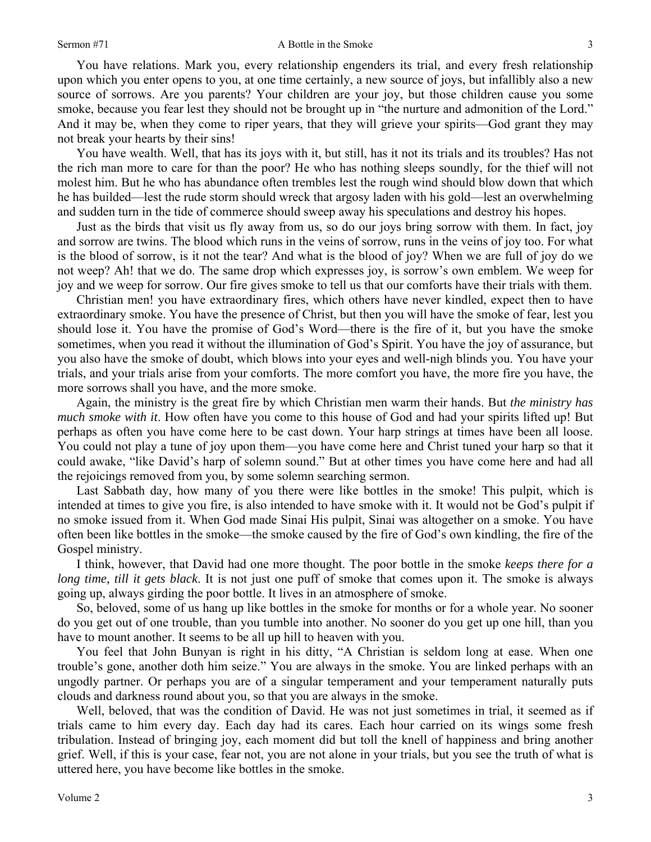You have relations. Mark you, every relationship engenders its trial, and every fresh relationship upon which you enter opens to you, at one time certainly, a new source of joys, but infallibly also a new source of sorrows. Are you parents? Your children are your joy, but those children cause you some smoke, because you fear lest they should not be brought up in "the nurture and admonition of the Lord." And it may be, when they come to riper years, that they will grieve your spirits—God grant they may not break your hearts by their sins!

You have wealth. Well, that has its joys with it, but still, has it not its trials and its troubles? Has not the rich man more to care for than the poor? He who has nothing sleeps soundly, for the thief will not molest him. But he who has abundance often trembles lest the rough wind should blow down that which he has builded—lest the rude storm should wreck that argosy laden with his gold—lest an overwhelming and sudden turn in the tide of commerce should sweep away his speculations and destroy his hopes.

Just as the birds that visit us fly away from us, so do our joys bring sorrow with them. In fact, joy and sorrow are twins. The blood which runs in the veins of sorrow, runs in the veins of joy too. For what is the blood of sorrow, is it not the tear? And what is the blood of joy? When we are full of joy do we not weep? Ah! that we do. The same drop which expresses joy, is sorrow's own emblem. We weep for joy and we weep for sorrow. Our fire gives smoke to tell us that our comforts have their trials with them.

Christian men! you have extraordinary fires, which others have never kindled, expect then to have extraordinary smoke. You have the presence of Christ, but then you will have the smoke of fear, lest you should lose it. You have the promise of God's Word—there is the fire of it, but you have the smoke sometimes, when you read it without the illumination of God's Spirit. You have the joy of assurance, but you also have the smoke of doubt, which blows into your eyes and well-nigh blinds you. You have your trials, and your trials arise from your comforts. The more comfort you have, the more fire you have, the more sorrows shall you have, and the more smoke.

Again, the ministry is the great fire by which Christian men warm their hands. But *the ministry has much smoke with it*. How often have you come to this house of God and had your spirits lifted up! But perhaps as often you have come here to be cast down. Your harp strings at times have been all loose. You could not play a tune of joy upon them—you have come here and Christ tuned your harp so that it could awake, "like David's harp of solemn sound." But at other times you have come here and had all the rejoicings removed from you, by some solemn searching sermon.

Last Sabbath day, how many of you there were like bottles in the smoke! This pulpit, which is intended at times to give you fire, is also intended to have smoke with it. It would not be God's pulpit if no smoke issued from it. When God made Sinai His pulpit, Sinai was altogether on a smoke. You have often been like bottles in the smoke—the smoke caused by the fire of God's own kindling, the fire of the Gospel ministry.

I think, however, that David had one more thought. The poor bottle in the smoke *keeps there for a long time, till it gets black*. It is not just one puff of smoke that comes upon it. The smoke is always going up, always girding the poor bottle. It lives in an atmosphere of smoke.

So, beloved, some of us hang up like bottles in the smoke for months or for a whole year. No sooner do you get out of one trouble, than you tumble into another. No sooner do you get up one hill, than you have to mount another. It seems to be all up hill to heaven with you.

You feel that John Bunyan is right in his ditty, "A Christian is seldom long at ease. When one trouble's gone, another doth him seize." You are always in the smoke. You are linked perhaps with an ungodly partner. Or perhaps you are of a singular temperament and your temperament naturally puts clouds and darkness round about you, so that you are always in the smoke.

Well, beloved, that was the condition of David. He was not just sometimes in trial, it seemed as if trials came to him every day. Each day had its cares. Each hour carried on its wings some fresh tribulation. Instead of bringing joy, each moment did but toll the knell of happiness and bring another grief. Well, if this is your case, fear not, you are not alone in your trials, but you see the truth of what is uttered here, you have become like bottles in the smoke.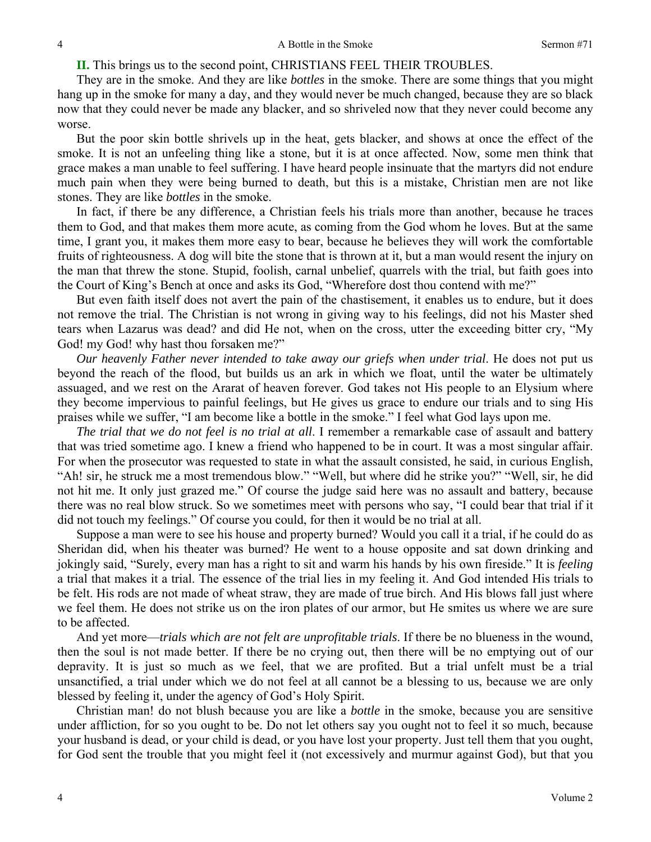**II.** This brings us to the second point, CHRISTIANS FEEL THEIR TROUBLES.

They are in the smoke. And they are like *bottles* in the smoke. There are some things that you might hang up in the smoke for many a day, and they would never be much changed, because they are so black now that they could never be made any blacker, and so shriveled now that they never could become any worse.

But the poor skin bottle shrivels up in the heat, gets blacker, and shows at once the effect of the smoke. It is not an unfeeling thing like a stone, but it is at once affected. Now, some men think that grace makes a man unable to feel suffering. I have heard people insinuate that the martyrs did not endure much pain when they were being burned to death, but this is a mistake, Christian men are not like stones. They are like *bottles* in the smoke.

In fact, if there be any difference, a Christian feels his trials more than another, because he traces them to God, and that makes them more acute, as coming from the God whom he loves. But at the same time, I grant you, it makes them more easy to bear, because he believes they will work the comfortable fruits of righteousness. A dog will bite the stone that is thrown at it, but a man would resent the injury on the man that threw the stone. Stupid, foolish, carnal unbelief, quarrels with the trial, but faith goes into the Court of King's Bench at once and asks its God, "Wherefore dost thou contend with me?"

But even faith itself does not avert the pain of the chastisement, it enables us to endure, but it does not remove the trial. The Christian is not wrong in giving way to his feelings, did not his Master shed tears when Lazarus was dead? and did He not, when on the cross, utter the exceeding bitter cry, "My God! my God! why hast thou forsaken me?"

*Our heavenly Father never intended to take away our griefs when under trial*. He does not put us beyond the reach of the flood, but builds us an ark in which we float, until the water be ultimately assuaged, and we rest on the Ararat of heaven forever. God takes not His people to an Elysium where they become impervious to painful feelings, but He gives us grace to endure our trials and to sing His praises while we suffer, "I am become like a bottle in the smoke." I feel what God lays upon me.

*The trial that we do not feel is no trial at all*. I remember a remarkable case of assault and battery that was tried sometime ago. I knew a friend who happened to be in court. It was a most singular affair. For when the prosecutor was requested to state in what the assault consisted, he said, in curious English, "Ah! sir, he struck me a most tremendous blow." "Well, but where did he strike you?" "Well, sir, he did not hit me. It only just grazed me." Of course the judge said here was no assault and battery, because there was no real blow struck. So we sometimes meet with persons who say, "I could bear that trial if it did not touch my feelings." Of course you could, for then it would be no trial at all.

Suppose a man were to see his house and property burned? Would you call it a trial, if he could do as Sheridan did, when his theater was burned? He went to a house opposite and sat down drinking and jokingly said, "Surely, every man has a right to sit and warm his hands by his own fireside." It is *feeling* a trial that makes it a trial. The essence of the trial lies in my feeling it. And God intended His trials to be felt. His rods are not made of wheat straw, they are made of true birch. And His blows fall just where we feel them. He does not strike us on the iron plates of our armor, but He smites us where we are sure to be affected.

And yet more—*trials which are not felt are unprofitable trials*. If there be no blueness in the wound, then the soul is not made better. If there be no crying out, then there will be no emptying out of our depravity. It is just so much as we feel, that we are profited. But a trial unfelt must be a trial unsanctified, a trial under which we do not feel at all cannot be a blessing to us, because we are only blessed by feeling it, under the agency of God's Holy Spirit.

Christian man! do not blush because you are like a *bottle* in the smoke, because you are sensitive under affliction, for so you ought to be. Do not let others say you ought not to feel it so much, because your husband is dead, or your child is dead, or you have lost your property. Just tell them that you ought, for God sent the trouble that you might feel it (not excessively and murmur against God), but that you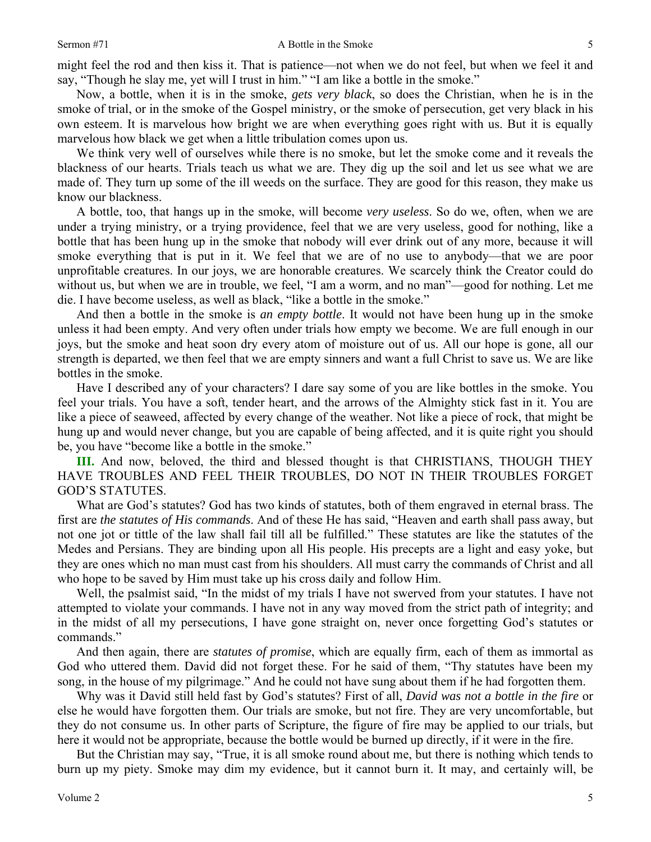might feel the rod and then kiss it. That is patience—not when we do not feel, but when we feel it and say, "Though he slay me, yet will I trust in him." "I am like a bottle in the smoke."

Now, a bottle, when it is in the smoke, *gets very black*, so does the Christian, when he is in the smoke of trial, or in the smoke of the Gospel ministry, or the smoke of persecution, get very black in his own esteem. It is marvelous how bright we are when everything goes right with us. But it is equally marvelous how black we get when a little tribulation comes upon us.

We think very well of ourselves while there is no smoke, but let the smoke come and it reveals the blackness of our hearts. Trials teach us what we are. They dig up the soil and let us see what we are made of. They turn up some of the ill weeds on the surface. They are good for this reason, they make us know our blackness.

A bottle, too, that hangs up in the smoke, will become *very useless*. So do we, often, when we are under a trying ministry, or a trying providence, feel that we are very useless, good for nothing, like a bottle that has been hung up in the smoke that nobody will ever drink out of any more, because it will smoke everything that is put in it. We feel that we are of no use to anybody—that we are poor unprofitable creatures. In our joys, we are honorable creatures. We scarcely think the Creator could do without us, but when we are in trouble, we feel, "I am a worm, and no man"—good for nothing. Let me die. I have become useless, as well as black, "like a bottle in the smoke."

And then a bottle in the smoke is *an empty bottle*. It would not have been hung up in the smoke unless it had been empty. And very often under trials how empty we become. We are full enough in our joys, but the smoke and heat soon dry every atom of moisture out of us. All our hope is gone, all our strength is departed, we then feel that we are empty sinners and want a full Christ to save us. We are like bottles in the smoke.

Have I described any of your characters? I dare say some of you are like bottles in the smoke. You feel your trials. You have a soft, tender heart, and the arrows of the Almighty stick fast in it. You are like a piece of seaweed, affected by every change of the weather. Not like a piece of rock, that might be hung up and would never change, but you are capable of being affected, and it is quite right you should be, you have "become like a bottle in the smoke."

**III.** And now, beloved, the third and blessed thought is that CHRISTIANS, THOUGH THEY HAVE TROUBLES AND FEEL THEIR TROUBLES, DO NOT IN THEIR TROUBLES FORGET GOD'S STATUTES.

What are God's statutes? God has two kinds of statutes, both of them engraved in eternal brass. The first are *the statutes of His commands*. And of these He has said, "Heaven and earth shall pass away, but not one jot or tittle of the law shall fail till all be fulfilled." These statutes are like the statutes of the Medes and Persians. They are binding upon all His people. His precepts are a light and easy yoke, but they are ones which no man must cast from his shoulders. All must carry the commands of Christ and all who hope to be saved by Him must take up his cross daily and follow Him.

Well, the psalmist said, "In the midst of my trials I have not swerved from your statutes. I have not attempted to violate your commands. I have not in any way moved from the strict path of integrity; and in the midst of all my persecutions, I have gone straight on, never once forgetting God's statutes or commands."

And then again, there are *statutes of promise*, which are equally firm, each of them as immortal as God who uttered them. David did not forget these. For he said of them, "Thy statutes have been my song, in the house of my pilgrimage." And he could not have sung about them if he had forgotten them.

Why was it David still held fast by God's statutes? First of all, *David was not a bottle in the fire* or else he would have forgotten them. Our trials are smoke, but not fire. They are very uncomfortable, but they do not consume us. In other parts of Scripture, the figure of fire may be applied to our trials, but here it would not be appropriate, because the bottle would be burned up directly, if it were in the fire.

But the Christian may say, "True, it is all smoke round about me, but there is nothing which tends to burn up my piety. Smoke may dim my evidence, but it cannot burn it. It may, and certainly will, be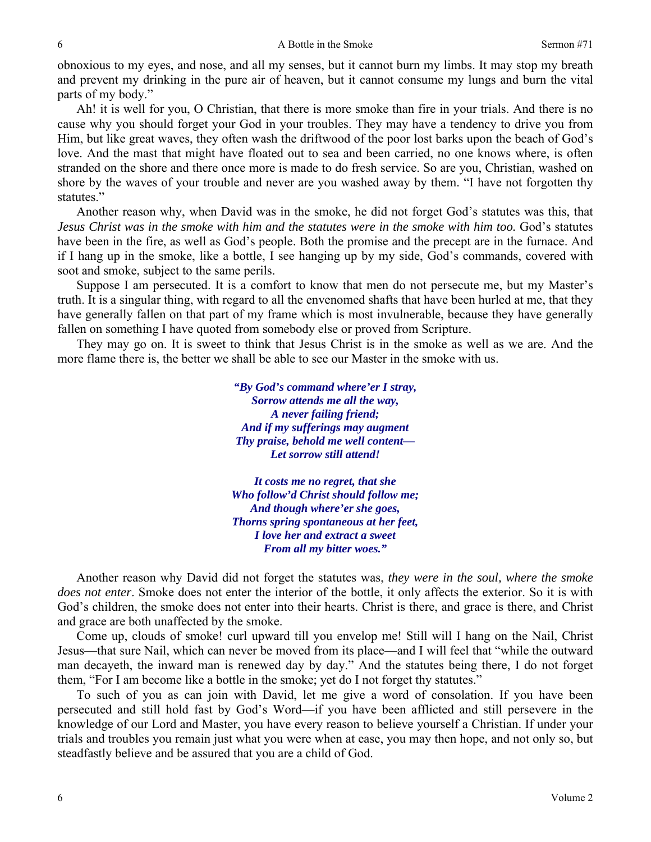obnoxious to my eyes, and nose, and all my senses, but it cannot burn my limbs. It may stop my breath and prevent my drinking in the pure air of heaven, but it cannot consume my lungs and burn the vital parts of my body."

Ah! it is well for you, O Christian, that there is more smoke than fire in your trials. And there is no cause why you should forget your God in your troubles. They may have a tendency to drive you from Him, but like great waves, they often wash the driftwood of the poor lost barks upon the beach of God's love. And the mast that might have floated out to sea and been carried, no one knows where, is often stranded on the shore and there once more is made to do fresh service. So are you, Christian, washed on shore by the waves of your trouble and never are you washed away by them. "I have not forgotten thy statutes."

Another reason why, when David was in the smoke, he did not forget God's statutes was this, that *Jesus Christ was in the smoke with him and the statutes were in the smoke with him too.* God's statutes have been in the fire, as well as God's people. Both the promise and the precept are in the furnace. And if I hang up in the smoke, like a bottle, I see hanging up by my side, God's commands, covered with soot and smoke, subject to the same perils.

Suppose I am persecuted. It is a comfort to know that men do not persecute me, but my Master's truth. It is a singular thing, with regard to all the envenomed shafts that have been hurled at me, that they have generally fallen on that part of my frame which is most invulnerable, because they have generally fallen on something I have quoted from somebody else or proved from Scripture.

They may go on. It is sweet to think that Jesus Christ is in the smoke as well as we are. And the more flame there is, the better we shall be able to see our Master in the smoke with us.

> *"By God's command where'er I stray, Sorrow attends me all the way, A never failing friend; And if my sufferings may augment Thy praise, behold me well content— Let sorrow still attend!*

*It costs me no regret, that she Who follow'd Christ should follow me; And though where'er she goes, Thorns spring spontaneous at her feet, I love her and extract a sweet From all my bitter woes."* 

Another reason why David did not forget the statutes was, *they were in the soul, where the smoke does not enter*. Smoke does not enter the interior of the bottle, it only affects the exterior. So it is with God's children, the smoke does not enter into their hearts. Christ is there, and grace is there, and Christ and grace are both unaffected by the smoke.

Come up, clouds of smoke! curl upward till you envelop me! Still will I hang on the Nail, Christ Jesus—that sure Nail, which can never be moved from its place—and I will feel that "while the outward man decayeth, the inward man is renewed day by day." And the statutes being there, I do not forget them, "For I am become like a bottle in the smoke; yet do I not forget thy statutes."

To such of you as can join with David, let me give a word of consolation. If you have been persecuted and still hold fast by God's Word—if you have been afflicted and still persevere in the knowledge of our Lord and Master, you have every reason to believe yourself a Christian. If under your trials and troubles you remain just what you were when at ease, you may then hope, and not only so, but steadfastly believe and be assured that you are a child of God.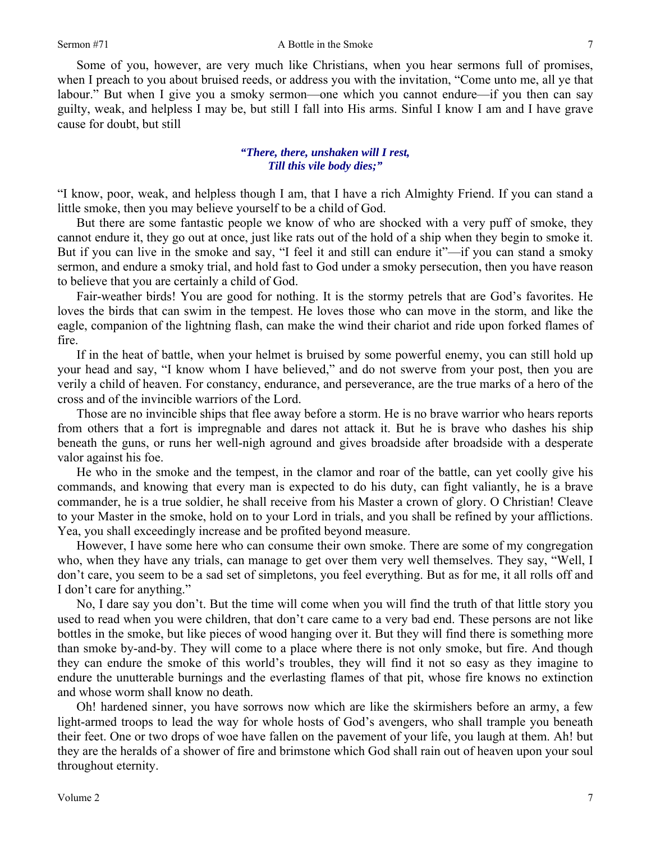Some of you, however, are very much like Christians, when you hear sermons full of promises, when I preach to you about bruised reeds, or address you with the invitation, "Come unto me, all ye that labour." But when I give you a smoky sermon—one which you cannot endure—if you then can say guilty, weak, and helpless I may be, but still I fall into His arms. Sinful I know I am and I have grave cause for doubt, but still

### *"There, there, unshaken will I rest, Till this vile body dies;"*

"I know, poor, weak, and helpless though I am, that I have a rich Almighty Friend. If you can stand a little smoke, then you may believe yourself to be a child of God.

But there are some fantastic people we know of who are shocked with a very puff of smoke, they cannot endure it, they go out at once, just like rats out of the hold of a ship when they begin to smoke it. But if you can live in the smoke and say, "I feel it and still can endure it"—if you can stand a smoky sermon, and endure a smoky trial, and hold fast to God under a smoky persecution, then you have reason to believe that you are certainly a child of God.

Fair-weather birds! You are good for nothing. It is the stormy petrels that are God's favorites. He loves the birds that can swim in the tempest. He loves those who can move in the storm, and like the eagle, companion of the lightning flash, can make the wind their chariot and ride upon forked flames of fire.

If in the heat of battle, when your helmet is bruised by some powerful enemy, you can still hold up your head and say, "I know whom I have believed," and do not swerve from your post, then you are verily a child of heaven. For constancy, endurance, and perseverance, are the true marks of a hero of the cross and of the invincible warriors of the Lord.

Those are no invincible ships that flee away before a storm. He is no brave warrior who hears reports from others that a fort is impregnable and dares not attack it. But he is brave who dashes his ship beneath the guns, or runs her well-nigh aground and gives broadside after broadside with a desperate valor against his foe.

He who in the smoke and the tempest, in the clamor and roar of the battle, can yet coolly give his commands, and knowing that every man is expected to do his duty, can fight valiantly, he is a brave commander, he is a true soldier, he shall receive from his Master a crown of glory. O Christian! Cleave to your Master in the smoke, hold on to your Lord in trials, and you shall be refined by your afflictions. Yea, you shall exceedingly increase and be profited beyond measure.

However, I have some here who can consume their own smoke. There are some of my congregation who, when they have any trials, can manage to get over them very well themselves. They say, "Well, I don't care, you seem to be a sad set of simpletons, you feel everything. But as for me, it all rolls off and I don't care for anything."

No, I dare say you don't. But the time will come when you will find the truth of that little story you used to read when you were children, that don't care came to a very bad end. These persons are not like bottles in the smoke, but like pieces of wood hanging over it. But they will find there is something more than smoke by-and-by. They will come to a place where there is not only smoke, but fire. And though they can endure the smoke of this world's troubles, they will find it not so easy as they imagine to endure the unutterable burnings and the everlasting flames of that pit, whose fire knows no extinction and whose worm shall know no death.

Oh! hardened sinner, you have sorrows now which are like the skirmishers before an army, a few light-armed troops to lead the way for whole hosts of God's avengers, who shall trample you beneath their feet. One or two drops of woe have fallen on the pavement of your life, you laugh at them. Ah! but they are the heralds of a shower of fire and brimstone which God shall rain out of heaven upon your soul throughout eternity.